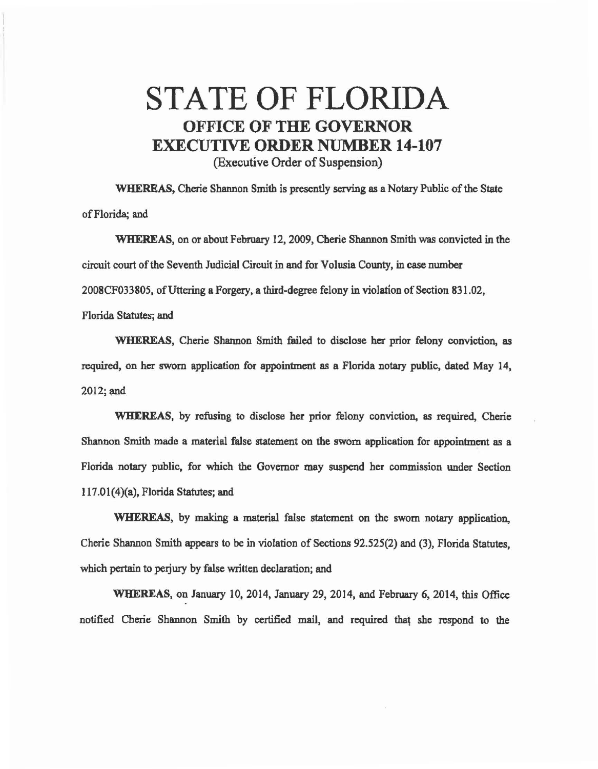## STATE OF FLORIDA OFFICE OF THE GOVERNOR EXECUTIVE ORDER NUMBER 14-107 (Executive Order of Suspension)

WHEREAS, Cherie Shannon Smith is presently serving as a Notary Public of the State of Florida; and

WHEREAS, on or about February 12, 2009, Cherie Shannon Smith was convicted in the circuit court of the Seventh Judicial Circuit in and for Volusia County, in case number 2008CF033805, of Uttering a Forgery, a third-degree felony in violation of Section 831.02, Florida Statutes; and

WHEREAS, Cherie Shannon Smith failed to disclose her prior felony conviction, as required, on her sworn application for appointment as a Florida notary public, dated May 14,  $2012;$  and

WHEREAS, by refusing to disclose her prior felony conviction, as required, Cherie Shannon Smith made a material false statement on the sworn application for appointment as a Florida notary public, for which the Governor may suspend her commission under Section  $117.01(4)(a)$ , Florida Statutes; and

WHEREAS, by making a material false statement on the sworn notary application, Cherie Shannon Smith appears to be in violation of Sections 92.525(2) and (3), Florida Statutes, which pertain to perjury by false written declaration; and

WHEREAS, on January 10, 2014, January 29, 2014. and February 6, 2014, this Office notified Cherie Shannon Smith by certified mail, and required that she respond to the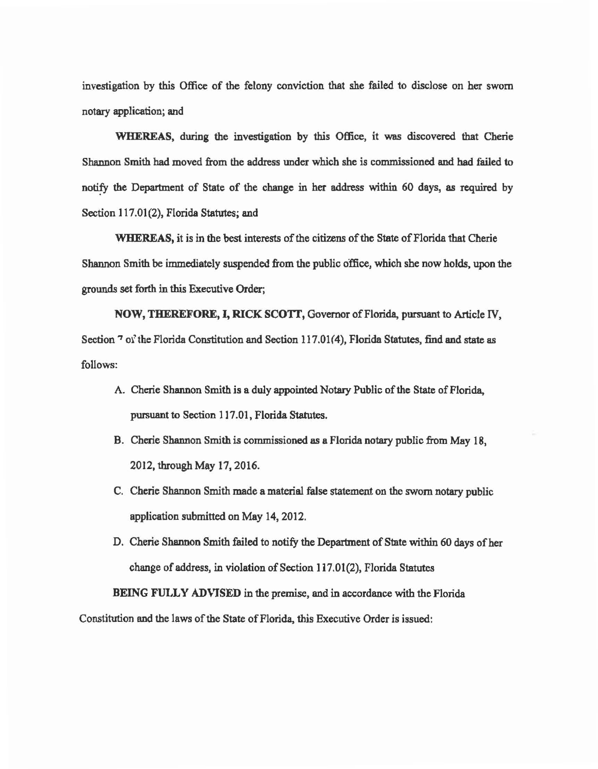investigation by this Office of the felony conviction that she failed to disclose on her sworn notary application; and

WHEREAS, during the investigation by this Office, it was discovered that Cherie Shannon Smith bad moved from the address under which she is commissioned and bad failed to notify the Department of State of the change in her address within 60 days, as required by Section 117.01(2), Florida Statutes; and

WHEREAS, it is in the best interests of the citizens of the State of Florida that Cherie Shannon Smith be immediately suspended from the public office, which she now holds, upon the grounds set forth in this Executive Order;

NOW, THEREFORE, I, RICK SCOTI, Governor of Florida, pursuant to Article IV, Section  $\frac{7}{9}$  of the Florida Constitution and Section 117.01(4), Florida Statutes, find and state as follows:

- A. Cherie Shannon Smith is a duly appointed Notary Public of the State of Florida, pursuant to Section 117.01, Florida Statutes.
- B. Cherie Shannon Smith is commissioned as a Florida notary public from May 18, 2012, through May 17, 2016.
- C. Cherie Shannon Smith made a material false statement on the sworn notary public application submitted on May 14, 2012.
- D. Cherie Shannon Smith failed to notify the Department of State within 60 days of her change of address, in violation of Section 117.01(2), Florida Statutes

BEING FULLY ADVISED in the premise, and in accordance with the Florida Constitution end the laws of the State of Florida, this Executive Order is issued: